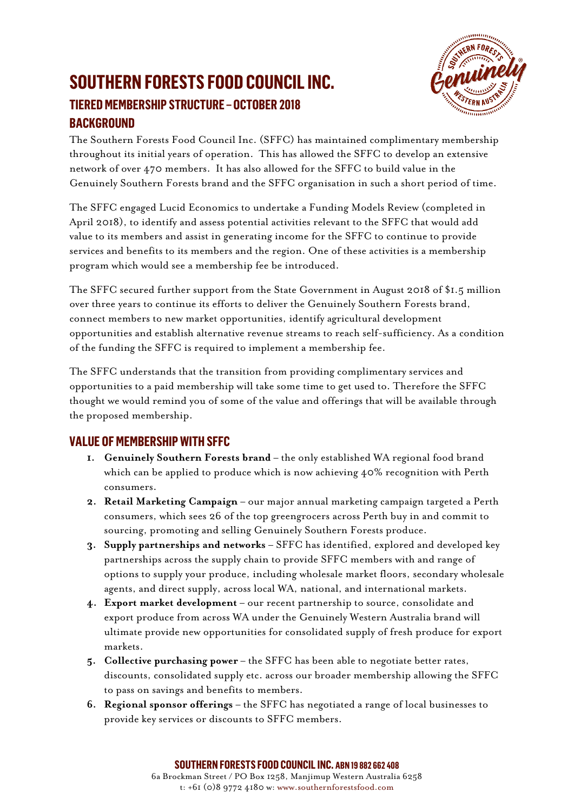### **SOUTHERN FORESTS FOOD COUNCIL INC. TIERED MEMBERSHIP STRUCTURE – OCTOBER 2018 BACKGROUND**



The Southern Forests Food Council Inc. (SFFC) has maintained complimentary membership throughout its initial years of operation. This has allowed the SFFC to develop an extensive network of over 470 members. It has also allowed for the SFFC to build value in the Genuinely Southern Forests brand and the SFFC organisation in such a short period of time.

The SFFC engaged Lucid Economics to undertake a Funding Models Review (completed in April 2018), to identify and assess potential activities relevant to the SFFC that would add value to its members and assist in generating income for the SFFC to continue to provide services and benefits to its members and the region. One of these activities is a membership program which would see a membership fee be introduced.

The SFFC secured further support from the State Government in August 2018 of \$1.5 million over three years to continue its efforts to deliver the Genuinely Southern Forests brand, connect members to new market opportunities, identify agricultural development opportunities and establish alternative revenue streams to reach self-sufficiency. As a condition of the funding the SFFC is required to implement a membership fee.

The SFFC understands that the transition from providing complimentary services and opportunities to a paid membership will take some time to get used to. Therefore the SFFC thought we would remind you of some of the value and offerings that will be available through the proposed membership.

#### **VALUE OF MEMBERSHIP WITH SFFC**

- **1. Genuinely Southern Forests brand** the only established WA regional food brand which can be applied to produce which is now achieving 40% recognition with Perth consumers.
- **2. Retail Marketing Campaign** our major annual marketing campaign targeted a Perth consumers, which sees 26 of the top greengrocers across Perth buy in and commit to sourcing, promoting and selling Genuinely Southern Forests produce.
- **3. Supply partnerships and networks** SFFC has identified, explored and developed key partnerships across the supply chain to provide SFFC members with and range of options to supply your produce, including wholesale market floors, secondary wholesale agents, and direct supply, across local WA, national, and international markets.
- **4. Export market development** our recent partnership to source, consolidate and export produce from across WA under the Genuinely Western Australia brand will ultimate provide new opportunities for consolidated supply of fresh produce for export markets.
- **5. Collective purchasing power** the SFFC has been able to negotiate better rates, discounts, consolidated supply etc. across our broader membership allowing the SFFC to pass on savings and benefits to members.
- **6. Regional sponsor offerings** the SFFC has negotiated a range of local businesses to provide key services or discounts to SFFC members.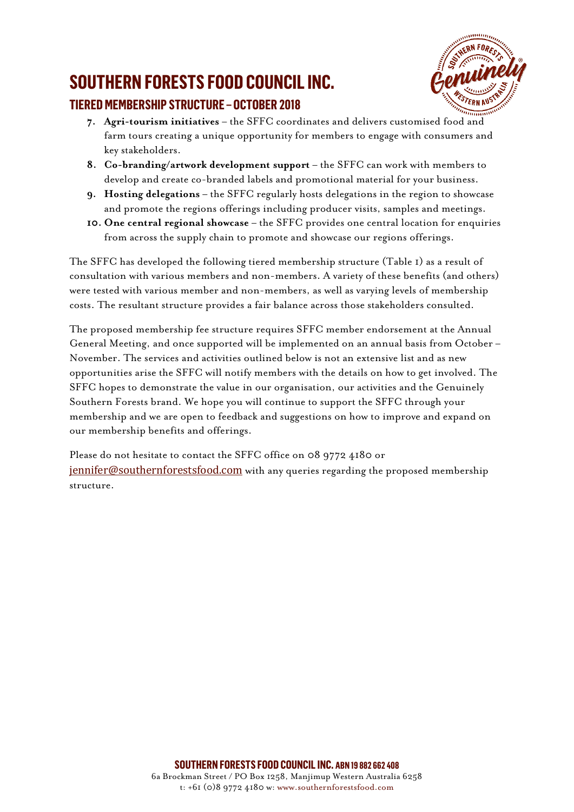## **SOUTHERN FORESTS FOOD COUNCIL INC.**



### **TIERED MEMBERSHIP STRUCTURE – OCTOBER 2018**

- **7. Agri-tourism initiatives** the SFFC coordinates and delivers customised food and farm tours creating a unique opportunity for members to engage with consumers and key stakeholders.
- **8. Co-branding/artwork development support** the SFFC can work with members to develop and create co-branded labels and promotional material for your business.
- **9. Hosting delegations** the SFFC regularly hosts delegations in the region to showcase and promote the regions offerings including producer visits, samples and meetings.
- **10. One central regional showcase** the SFFC provides one central location for enquiries from across the supply chain to promote and showcase our regions offerings.

The SFFC has developed the following tiered membership structure (Table 1) as a result of consultation with various members and non-members. A variety of these benefits (and others) were tested with various member and non-members, as well as varying levels of membership costs. The resultant structure provides a fair balance across those stakeholders consulted.

The proposed membership fee structure requires SFFC member endorsement at the Annual General Meeting, and once supported will be implemented on an annual basis from October – November. The services and activities outlined below is not an extensive list and as new opportunities arise the SFFC will notify members with the details on how to get involved. The SFFC hopes to demonstrate the value in our organisation, our activities and the Genuinely Southern Forests brand. We hope you will continue to support the SFFC through your membership and we are open to feedback and suggestions on how to improve and expand on our membership benefits and offerings.

Please do not hesitate to contact the SFFC office on 08 9772 4180 or [jennifer@southernforestsfood.com](mailto:jennifer@southernforestsfood.com) with any queries regarding the proposed membership structure.